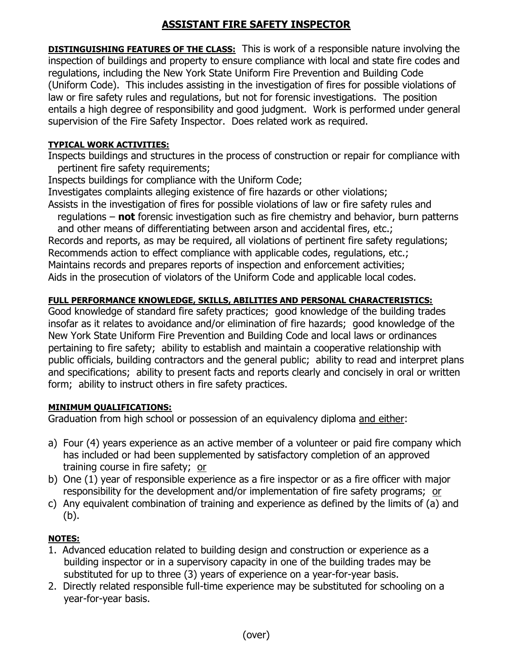# **ASSISTANT FIRE SAFETY INSPECTOR**

**DISTINGUISHING FEATURES OF THE CLASS:** This is work of a responsible nature involving the inspection of buildings and property to ensure compliance with local and state fire codes and regulations, including the New York State Uniform Fire Prevention and Building Code (Uniform Code). This includes assisting in the investigation of fires for possible violations of law or fire safety rules and regulations, but not for forensic investigations. The position entails a high degree of responsibility and good judgment. Work is performed under general supervision of the Fire Safety Inspector. Does related work as required.

#### **TYPICAL WORK ACTIVITIES:**

Inspects buildings and structures in the process of construction or repair for compliance with pertinent fire safety requirements;

Inspects buildings for compliance with the Uniform Code;

Investigates complaints alleging existence of fire hazards or other violations; Assists in the investigation of fires for possible violations of law or fire safety rules and

 regulations – **not** forensic investigation such as fire chemistry and behavior, burn patterns and other means of differentiating between arson and accidental fires, etc.; Records and reports, as may be required, all violations of pertinent fire safety regulations; Recommends action to effect compliance with applicable codes, regulations, etc.; Maintains records and prepares reports of inspection and enforcement activities; Aids in the prosecution of violators of the Uniform Code and applicable local codes.

## **FULL PERFORMANCE KNOWLEDGE, SKILLS, ABILITIES AND PERSONAL CHARACTERISTICS:**

Good knowledge of standard fire safety practices; good knowledge of the building trades insofar as it relates to avoidance and/or elimination of fire hazards; good knowledge of the New York State Uniform Fire Prevention and Building Code and local laws or ordinances pertaining to fire safety; ability to establish and maintain a cooperative relationship with public officials, building contractors and the general public; ability to read and interpret plans and specifications; ability to present facts and reports clearly and concisely in oral or written form; ability to instruct others in fire safety practices.

## **MINIMUM QUALIFICATIONS:**

Graduation from high school or possession of an equivalency diploma and either:

- a) Four (4) years experience as an active member of a volunteer or paid fire company which has included or had been supplemented by satisfactory completion of an approved training course in fire safety; or
- b) One (1) year of responsible experience as a fire inspector or as a fire officer with major responsibility for the development and/or implementation of fire safety programs; or
- c) Any equivalent combination of training and experience as defined by the limits of (a) and (b).

# **NOTES:**

- 1.Advanced education related to building design and construction or experience as a building inspector or in a supervisory capacity in one of the building trades may be substituted for up to three (3) years of experience on a year-for-year basis.
- 2. Directly related responsible full-time experience may be substituted for schooling on a year-for-year basis.